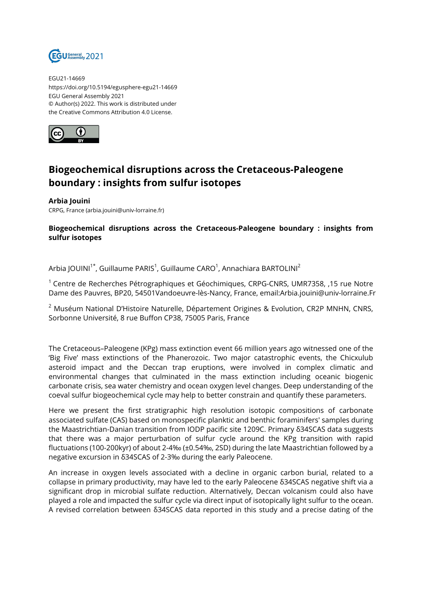

EGU21-14669 https://doi.org/10.5194/egusphere-egu21-14669 EGU General Assembly 2021 © Author(s) 2022. This work is distributed under the Creative Commons Attribution 4.0 License.



## **Biogeochemical disruptions across the Cretaceous-Paleogene boundary : insights from sulfur isotopes**

**Arbia Jouini** CRPG, France (arbia.jouini@univ-lorraine.fr)

## **Biogeochemical disruptions across the Cretaceous-Paleogene boundary : insights from sulfur isotopes**

Arbia JOUINI $^{\text{1*}}$ , Guillaume PARIS $^{\text{1}}$ , Guillaume CARO $^{\text{1}}$ , Annachiara BARTOLINI $^{\text{2}}$ 

 $1$  Centre de Recherches Pétrographiques et Géochimiques, CRPG-CNRS, UMR7358, 15 rue Notre Dame des Pauvres, BP20, 54501Vandoeuvre-lès-Nancy, France, email:Arbia.jouini@univ-lorraine.Fr

 $2$  Muséum National D'Histoire Naturelle, Département Origines & Evolution, CR2P MNHN, CNRS, Sorbonne Université, 8 rue Buffon CP38, 75005 Paris, France

The Cretaceous–Paleogene (KPg) mass extinction event 66 million years ago witnessed one of the 'Big Five' mass extinctions of the Phanerozoic. Two major catastrophic events, the Chicxulub asteroid impact and the Deccan trap eruptions, were involved in complex climatic and environmental changes that culminated in the mass extinction including oceanic biogenic carbonate crisis, sea water chemistry and ocean oxygen level changes. Deep understanding of the coeval sulfur biogeochemical cycle may help to better constrain and quantify these parameters.

Here we present the first stratigraphic high resolution isotopic compositions of carbonate associated sulfate (CAS) based on monospecific planktic and benthic foraminifers' samples during the Maastrichtian-Danian transition from IODP pacific site 1209C. Primary δ34SCAS data suggests that there was a major perturbation of sulfur cycle around the KPg transition with rapid fluctuations (100-200kyr) of about 2-4‰ (±0.54‰, 2SD) during the late Maastrichtian followed by a negative excursion in δ34SCAS of 2-3‰ during the early Paleocene.

An increase in oxygen levels associated with a decline in organic carbon burial, related to a collapse in primary productivity, may have led to the early Paleocene δ34SCAS negative shift via a significant drop in microbial sulfate reduction. Alternatively, Deccan volcanism could also have played a role and impacted the sulfur cycle via direct input of isotopically light sulfur to the ocean. A revised correlation between δ34SCAS data reported in this study and a precise dating of the